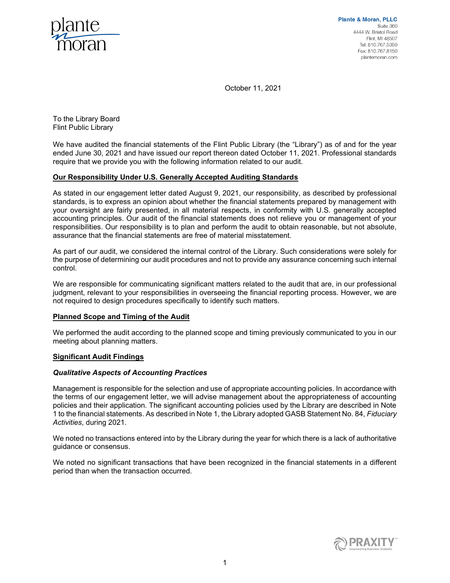

**Plante & Moran, PLLC** Suite 360 4444 W. Bristol Road Flint, MI 48507 Tel: 810.767.5350 Fax: 810.767.8150 plantemoran.com

October 11, 2021

To the Library Board Flint Public Library

We have audited the financial statements of the Flint Public Library (the "Library") as of and for the year ended June 30, 2021 and have issued our report thereon dated October 11, 2021. Professional standards require that we provide you with the following information related to our audit.

# Our Responsibility Under U.S. Generally Accepted Auditing Standards

As stated in our engagement letter dated August 9, 2021, our responsibility, as described by professional standards, is to express an opinion about whether the financial statements prepared by management with your oversight are fairly presented, in all material respects, in conformity with U.S. generally accepted accounting principles. Our audit of the financial statements does not relieve you or management of your responsibilities. Our responsibility is to plan and perform the audit to obtain reasonable, but not absolute, assurance that the financial statements are free of material misstatement.

As part of our audit, we considered the internal control of the Library. Such considerations were solely for the purpose of determining our audit procedures and not to provide any assurance concerning such internal control.

We are responsible for communicating significant matters related to the audit that are, in our professional judgment, relevant to your responsibilities in overseeing the financial reporting process. However, we are not required to design procedures specifically to identify such matters.

### Planned Scope and Timing of the Audit

We performed the audit according to the planned scope and timing previously communicated to you in our meeting about planning matters.

# Significant Audit Findings

### Qualitative Aspects of Accounting Practices

Management is responsible for the selection and use of appropriate accounting policies. In accordance with the terms of our engagement letter, we will advise management about the appropriateness of accounting policies and their application. The significant accounting policies used by the Library are described in Note 1 to the financial statements. As described in Note 1, the Library adopted GASB Statement No. 84, Fiduciary Activities, during 2021.

We noted no transactions entered into by the Library during the year for which there is a lack of authoritative guidance or consensus.

We noted no significant transactions that have been recognized in the financial statements in a different period than when the transaction occurred.

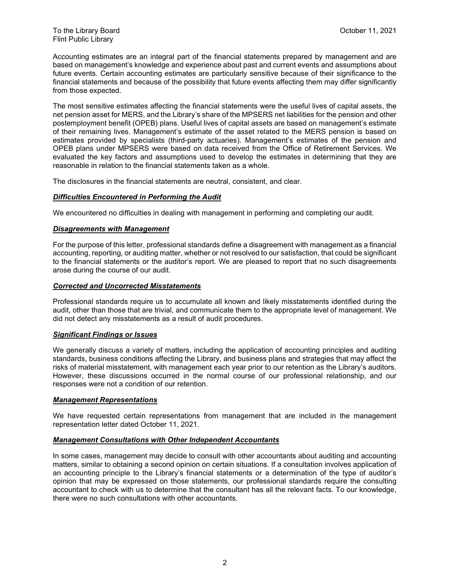Accounting estimates are an integral part of the financial statements prepared by management and are based on management's knowledge and experience about past and current events and assumptions about future events. Certain accounting estimates are particularly sensitive because of their significance to the financial statements and because of the possibility that future events affecting them may differ significantly from those expected.

The most sensitive estimates affecting the financial statements were the useful lives of capital assets, the net pension asset for MERS, and the Library's share of the MPSERS net liabilities for the pension and other postemployment benefit (OPEB) plans. Useful lives of capital assets are based on management's estimate of their remaining lives. Management's estimate of the asset related to the MERS pension is based on estimates provided by specialists (third-party actuaries). Management's estimates of the pension and OPEB plans under MPSERS were based on data received from the Office of Retirement Services. We evaluated the key factors and assumptions used to develop the estimates in determining that they are reasonable in relation to the financial statements taken as a whole.

The disclosures in the financial statements are neutral, consistent, and clear.

### **Difficulties Encountered in Performing the Audit**

We encountered no difficulties in dealing with management in performing and completing our audit.

### Disagreements with Management

For the purpose of this letter, professional standards define a disagreement with management as a financial accounting, reporting, or auditing matter, whether or not resolved to our satisfaction, that could be significant to the financial statements or the auditor's report. We are pleased to report that no such disagreements arose during the course of our audit.

#### Corrected and Uncorrected Misstatements

Professional standards require us to accumulate all known and likely misstatements identified during the audit, other than those that are trivial, and communicate them to the appropriate level of management. We did not detect any misstatements as a result of audit procedures.

### Significant Findings or Issues

We generally discuss a variety of matters, including the application of accounting principles and auditing standards, business conditions affecting the Library, and business plans and strategies that may affect the risks of material misstatement, with management each year prior to our retention as the Library's auditors. However, these discussions occurred in the normal course of our professional relationship, and our responses were not a condition of our retention.

#### Management Representations

We have requested certain representations from management that are included in the management representation letter dated October 11, 2021.

### Management Consultations with Other Independent Accountants

In some cases, management may decide to consult with other accountants about auditing and accounting matters, similar to obtaining a second opinion on certain situations. If a consultation involves application of an accounting principle to the Library's financial statements or a determination of the type of auditor's opinion that may be expressed on those statements, our professional standards require the consulting accountant to check with us to determine that the consultant has all the relevant facts. To our knowledge, there were no such consultations with other accountants.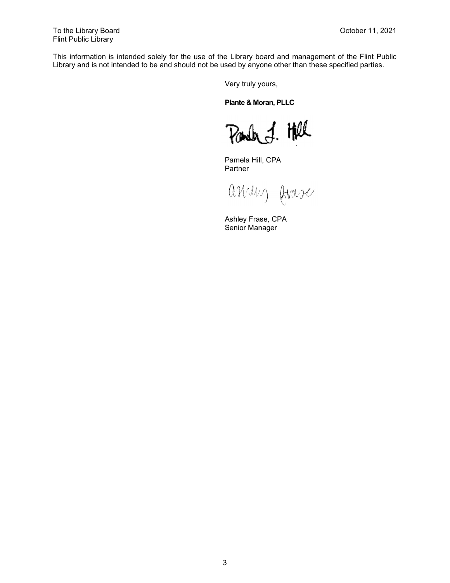This information is intended solely for the use of the Library board and management of the Flint Public Library and is not intended to be and should not be used by anyone other than these specified parties.

Very truly yours,

Plante & Moran, PLLC

Parched. Hell

Pamela Hill, CPA Partner

askun frase

Ashley Frase, CPA Senior Manager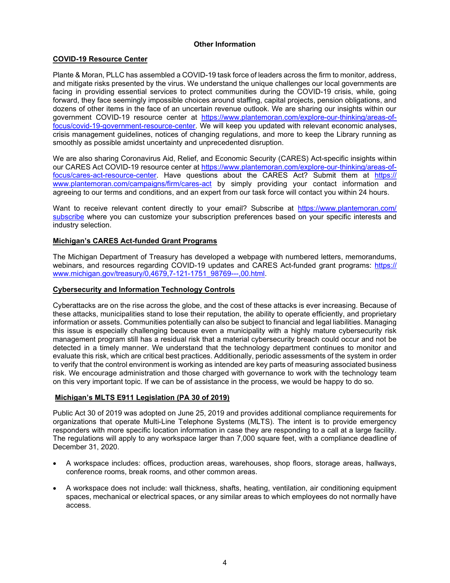### Other Information

## COVID-19 Resource Center

Plante & Moran, PLLC has assembled a COVID-19 task force of leaders across the firm to monitor, address, and mitigate risks presented by the virus. We understand the unique challenges our local governments are facing in providing essential services to protect communities during the COVID-19 crisis, while, going forward, they face seemingly impossible choices around staffing, capital projects, pension obligations, and dozens of other items in the face of an uncertain revenue outlook. We are sharing our insights within our government COVID-19 resource center at https://www.plantemoran.com/explore-our-thinking/areas-offocus/covid-19-government-resource-center. We will keep you updated with relevant economic analyses, crisis management guidelines, notices of changing regulations, and more to keep the Library running as smoothly as possible amidst uncertainty and unprecedented disruption.

We are also sharing Coronavirus Aid, Relief, and Economic Security (CARES) Act-specific insights within our CARES Act COVID-19 resource center at https://www.plantemoran.com/explore-our-thinking/areas-offocus/cares-act-resource-center. Have questions about the CARES Act? Submit them at https:// www.plantemoran.com/campaigns/firm/cares-act by simply providing your contact information and agreeing to our terms and conditions, and an expert from our task force will contact you within 24 hours.

Want to receive relevant content directly to your email? Subscribe at https://www.plantemoran.com/ subscribe where you can customize your subscription preferences based on your specific interests and industry selection.

### Michigan's CARES Act-funded Grant Programs

The Michigan Department of Treasury has developed a webpage with numbered letters, memorandums, webinars, and resources regarding COVID-19 updates and CARES Act-funded grant programs: https:// www.michigan.gov/treasury/0,4679,7-121-1751\_98769---,00.html.

### Cybersecurity and Information Technology Controls

Cyberattacks are on the rise across the globe, and the cost of these attacks is ever increasing. Because of these attacks, municipalities stand to lose their reputation, the ability to operate efficiently, and proprietary information or assets. Communities potentially can also be subject to financial and legal liabilities. Managing this issue is especially challenging because even a municipality with a highly mature cybersecurity risk management program still has a residual risk that a material cybersecurity breach could occur and not be detected in a timely manner. We understand that the technology department continues to monitor and evaluate this risk, which are critical best practices. Additionally, periodic assessments of the system in order to verify that the control environment is working as intended are key parts of measuring associated business risk. We encourage administration and those charged with governance to work with the technology team on this very important topic. If we can be of assistance in the process, we would be happy to do so.

### Michigan's MLTS E911 Legislation (PA 30 of 2019)

Public Act 30 of 2019 was adopted on June 25, 2019 and provides additional compliance requirements for organizations that operate Multi-Line Telephone Systems (MLTS). The intent is to provide emergency responders with more specific location information in case they are responding to a call at a large facility. The regulations will apply to any workspace larger than 7,000 square feet, with a compliance deadline of December 31, 2020.

- A workspace includes: offices, production areas, warehouses, shop floors, storage areas, hallways, conference rooms, break rooms, and other common areas.
- A workspace does not include: wall thickness, shafts, heating, ventilation, air conditioning equipment spaces, mechanical or electrical spaces, or any similar areas to which employees do not normally have access.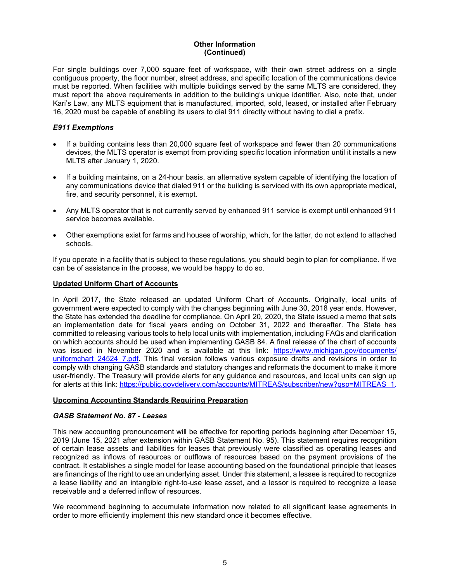# Other Information (Continued)

For single buildings over 7,000 square feet of workspace, with their own street address on a single contiguous property, the floor number, street address, and specific location of the communications device must be reported. When facilities with multiple buildings served by the same MLTS are considered, they must report the above requirements in addition to the building's unique identifier. Also, note that, under Kari's Law, any MLTS equipment that is manufactured, imported, sold, leased, or installed after February 16, 2020 must be capable of enabling its users to dial 911 directly without having to dial a prefix.

## E911 Exemptions

- If a building contains less than 20,000 square feet of workspace and fewer than 20 communications devices, the MLTS operator is exempt from providing specific location information until it installs a new MLTS after January 1, 2020.
- If a building maintains, on a 24-hour basis, an alternative system capable of identifying the location of any communications device that dialed 911 or the building is serviced with its own appropriate medical, fire, and security personnel, it is exempt.
- Any MLTS operator that is not currently served by enhanced 911 service is exempt until enhanced 911 service becomes available.
- Other exemptions exist for farms and houses of worship, which, for the latter, do not extend to attached schools.

If you operate in a facility that is subject to these regulations, you should begin to plan for compliance. If we can be of assistance in the process, we would be happy to do so.

### Updated Uniform Chart of Accounts

In April 2017, the State released an updated Uniform Chart of Accounts. Originally, local units of government were expected to comply with the changes beginning with June 30, 2018 year ends. However, the State has extended the deadline for compliance. On April 20, 2020, the State issued a memo that sets an implementation date for fiscal years ending on October 31, 2022 and thereafter. The State has committed to releasing various tools to help local units with implementation, including FAQs and clarification on which accounts should be used when implementing GASB 84. A final release of the chart of accounts was issued in November 2020 and is available at this link: https://www.michigan.gov/documents/ uniformchart 24524 7.pdf. This final version follows various exposure drafts and revisions in order to comply with changing GASB standards and statutory changes and reformats the document to make it more user-friendly. The Treasury will provide alerts for any guidance and resources, and local units can sign up for alerts at this link: https://public.govdelivery.com/accounts/MITREAS/subscriber/new?qsp=MITREAS\_1.

### Upcoming Accounting Standards Requiring Preparation

### GASB Statement No. 87 - Leases

This new accounting pronouncement will be effective for reporting periods beginning after December 15, 2019 (June 15, 2021 after extension within GASB Statement No. 95). This statement requires recognition of certain lease assets and liabilities for leases that previously were classified as operating leases and recognized as inflows of resources or outflows of resources based on the payment provisions of the contract. It establishes a single model for lease accounting based on the foundational principle that leases are financings of the right to use an underlying asset. Under this statement, a lessee is required to recognize a lease liability and an intangible right-to-use lease asset, and a lessor is required to recognize a lease receivable and a deferred inflow of resources.

We recommend beginning to accumulate information now related to all significant lease agreements in order to more efficiently implement this new standard once it becomes effective.